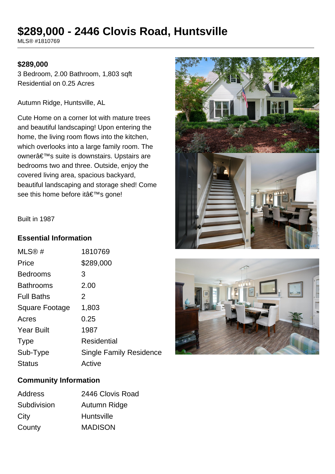# **\$289,000 - 2446 Clovis Road, Huntsville**

MLS® #1810769

#### **\$289,000**

3 Bedroom, 2.00 Bathroom, 1,803 sqft Residential on 0.25 Acres

Autumn Ridge, Huntsville, AL

Cute Home on a corner lot with mature trees and beautiful landscaping! Upon entering the home, the living room flows into the kitchen, which overlooks into a large family room. The owner's suite is downstairs. Upstairs are bedrooms two and three. Outside, enjoy the covered living area, spacious backyard, beautiful landscaping and storage shed! Come see this home before it's gone!





#### Built in 1987

#### **Essential Information**

| MLS@#                 | 1810769                        |
|-----------------------|--------------------------------|
| Price                 | \$289,000                      |
| <b>Bedrooms</b>       | З                              |
| <b>Bathrooms</b>      | 2.00                           |
| <b>Full Baths</b>     | 2                              |
| <b>Square Footage</b> | 1,803                          |
| Acres                 | 0.25                           |
| <b>Year Built</b>     | 1987                           |
| <b>Type</b>           | Residential                    |
| Sub-Type              | <b>Single Family Residence</b> |
| <b>Status</b>         | Active                         |
|                       |                                |

### **Community Information**

| <b>Address</b> | 2446 Clovis Road  |
|----------------|-------------------|
| Subdivision    | Autumn Ridge      |
| City           | <b>Huntsville</b> |
| County         | <b>MADISON</b>    |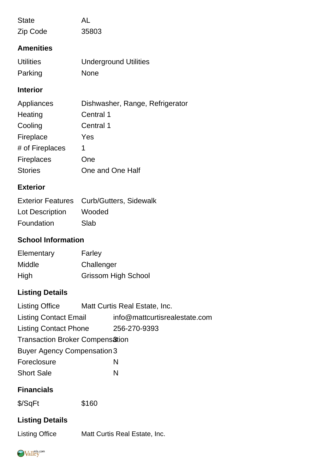| <b>State</b>              | AL                              |  |  |
|---------------------------|---------------------------------|--|--|
| Zip Code                  | 35803                           |  |  |
| <b>Amenities</b>          |                                 |  |  |
| <b>Utilities</b>          | <b>Underground Utilities</b>    |  |  |
| Parking                   | <b>None</b>                     |  |  |
| <b>Interior</b>           |                                 |  |  |
| Appliances                | Dishwasher, Range, Refrigerator |  |  |
| Heating                   | Central 1                       |  |  |
| Cooling                   | Central 1                       |  |  |
| Fireplace                 | Yes                             |  |  |
| # of Fireplaces           | 1                               |  |  |
| <b>Fireplaces</b>         | One                             |  |  |
| <b>Stories</b>            | One and One Half                |  |  |
| <b>Exterior</b>           |                                 |  |  |
| <b>Exterior Features</b>  | <b>Curb/Gutters, Sidewalk</b>   |  |  |
| Lot Description           | Wooded                          |  |  |
| Foundation                | Slab                            |  |  |
| <b>School Information</b> |                                 |  |  |
| Elementary                | Farley                          |  |  |
| Middle                    | Challenger                      |  |  |
| High                      | <b>Grissom High School</b>      |  |  |
| <b>Listing Details</b>    |                                 |  |  |

| <b>Listing Office</b>                  |  | Matt Curtis Real Estate, Inc. |  |
|----------------------------------------|--|-------------------------------|--|
| <b>Listing Contact Email</b>           |  | info@mattcurtisrealestate.com |  |
| <b>Listing Contact Phone</b>           |  | 256-270-9393                  |  |
| <b>Transaction Broker Compensation</b> |  |                               |  |
| <b>Buyer Agency Compensation 3</b>     |  |                               |  |
| Foreclosure                            |  | N                             |  |
| <b>Short Sale</b>                      |  | N                             |  |
|                                        |  |                               |  |

## **Financials**

\$/SqFt \$160

## **Listing Details**

Listing Office Matt Curtis Real Estate, Inc.